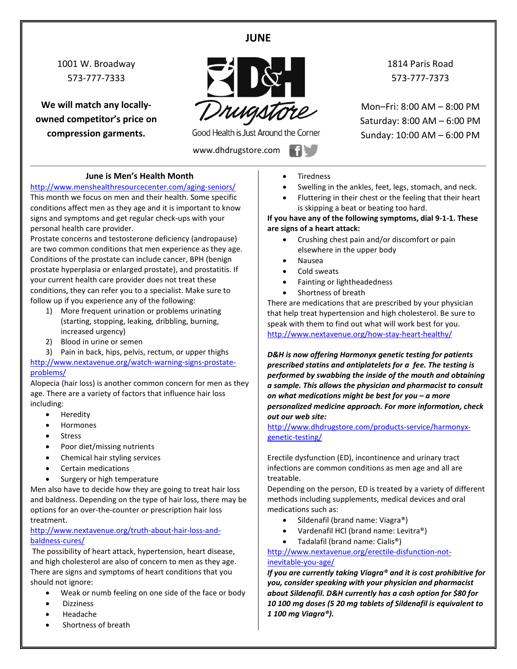## **JUNE**

1001 W. Broadway 573-777-7333

**We will match any locallyowned competitor's price on compression garments.**



Good Health is Just Around the Corner

www.dhdrugstore.com

1814 Paris Road 573-777-7373

Mon–Fri: 8:00 AM – 8:00 PM Saturday: 8:00 AM – 6:00 PM Sunday: 10:00 AM – 6:00 PM

#### **June is Men's Health Month**

<http://www.menshealthresourcecenter.com/aging-seniors/> This month we focus on men and their health. Some specific conditions affect men as they age and it is important to know signs and symptoms and get regular check-ups with your personal health care provider.

Prostate concerns and testosterone deficiency (andropause) are two common conditions that men experience as they age. Conditions of the prostate can include cancer, BPH (benign prostate hyperplasia or enlarged prostate), and prostatitis. If your current health care provider does not treat these conditions, they can refer you to a specialist. Make sure to follow up if you experience any of the following:

- 1) More frequent urination or problems urinating (starting, stopping, leaking, dribbling, burning, increased urgency)
- 2) Blood in urine or semen
- 3) Pain in back, hips, pelvis, rectum, or upper thighs

[http://www.nextavenue.org/watch-warning-signs-prostate](http://www.nextavenue.org/watch-warning-signs-prostate-problems/)[problems/](http://www.nextavenue.org/watch-warning-signs-prostate-problems/)

Alopecia (hair loss) is another common concern for men as they age. There are a variety of factors that influence hair loss including:

- Heredity
- Hormones
- **Stress**
- Poor diet/missing nutrients
- Chemical hair styling services
- Certain medications
- Surgery or high temperature

Men also have to decide how they are going to treat hair loss and baldness. Depending on the type of hair loss, there may be options for an over-the-counter or prescription hair loss treatment.

[http://www.nextavenue.org/truth-about-hair-loss-and](http://www.nextavenue.org/truth-about-hair-loss-and-baldness-cures/)[baldness-cures/](http://www.nextavenue.org/truth-about-hair-loss-and-baldness-cures/)

The possibility of heart attack, hypertension, heart disease, and high cholesterol are also of concern to men as they age. There are signs and symptoms of heart conditions that you should not ignore:

- Weak or numb feeling on one side of the face or body
- Dizziness
- Headache
- Shortness of breath
- **Tiredness**
- Swelling in the ankles, feet, legs, stomach, and neck.
- Fluttering in their chest or the feeling that their heart is skipping a beat or beating too hard.

**If you have any of the following symptoms, dial 9-1-1. These are signs of a heart attack:**

- Crushing chest pain and/or discomfort or pain elsewhere in the upper body
- Nausea
- Cold sweats
- Fainting or lightheadedness
- Shortness of breath

There are medications that are prescribed by your physician that help treat hypertension and high cholesterol. Be sure to speak with them to find out what will work best for you. <http://www.nextavenue.org/how-stay-heart-healthy/>

*D&H is now offering Harmonyx genetic testing for patients prescribed statins and antiplatelets for a fee. The testing is performed by swabbing the inside of the mouth and obtaining a sample. This allows the physician and pharmacist to consult on what medications might be best for you – a more personalized medicine approach. For more information, check out our web site:*

[http://www.dhdrugstore.com/products-service/harmonyx](http://www.dhdrugstore.com/products-service/harmonyx-genetic-testing/)[genetic-testing/](http://www.dhdrugstore.com/products-service/harmonyx-genetic-testing/)

Erectile dysfunction (ED), incontinence and urinary tract infections are common conditions as men age and all are treatable.

Depending on the person, ED is treated by a variety of different methods including supplements, medical devices and oral medications such as:

- Sildenafil (brand name: Viagra®)
- Vardenafil HCl (brand name: Levitra®)
- Tadalafil (brand name: Cialis®)

[http://www.nextavenue.org/erectile-disfunction-not](http://www.nextavenue.org/erectile-disfunction-not-inevitable-you-age/)[inevitable-you-age/](http://www.nextavenue.org/erectile-disfunction-not-inevitable-you-age/)

*If you are currently taking Viagra® and it is cost prohibitive for you, consider speaking with your physician and pharmacist about Sildenafil. D&H currently has a cash option for \$80 for 10 100 mg doses (5 20 mg tablets of Sildenafil is equivalent to 1 100 mg Viagra®).*